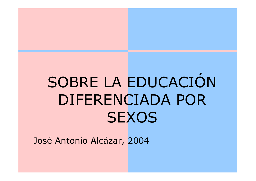# SOBRE LA EDUCACIÓN DIFERENCIADA POR **SEXOS**

José Antonio Alcázar, 2004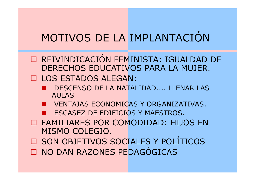### MOTIVOS DE LA IMPLANTACIÓN

O REIVINDICACIÓN FEMINISTA: IGUALDAD DE<br>DERECHOS EDUCATIVOS PARA LA MUJER DERECHOS EDUCATIVOS PARA LA MUJER.

LOS ESTADOS ALEGAN:

- - DESCENSO DE LA NATALIDAD.... LLENAR LAS AULAS
- UNENTAJAS ECONÓMICAS Y ORGANIZATIVAS. -
- -ESCASEZ DE EDIFICIOS Y MAESTROS.
- **O FAMILIARES POR COMODIDAD: HIJOS EN<br>MISMO COLEGIO** MISMO COLEGIO.
- O SON OBJETIVOS SOCIALES Y POLÍTICOS □ NO DAN RAZONES PEDAGÓGICAS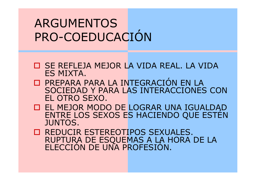### ARGUMENTOSPRO-COEDUCACIÓN

- **O SE REFLEJA MEJOR LA VIDA REAL. LA VIDA<br>FS MIXTA** ES MIXTA.
- □ PREPARA PARA LA INTEGRACIÓN EN LA<br>SOCIFDAD Y PARA LAS INTERACCIONES SOCIEDAD Y PARA LAS INTERACCIONES CON EL OTRO SEXO.
- **O EL MEJOR MOD** ENTRE LOS SEXOS ES HACIENDO QUE ESTÉN JUNTOS.
- □ REDUCIR ESTEREOTIPOS SEXUALES.<br>RUPTURA DE ESOUEMAS A LA HORA D RUPTURA DE ESQUEMAS A LA HORA DE LA ELECCIÓN DE UNA PROFESIÓN.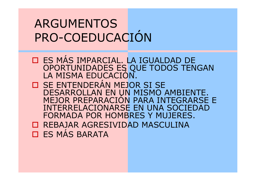### ARGUMENTOSPRO-COEDUCACIÓN

- **OUT ES MÁS IMPARCIAL. LA IGUALDAD DE<br>OPORTUNIDADES ES QUE TODOS TENO** OPORTUNIDADES ES QUE TODOS TENGAN LA MISMA EDUCACIÓN.
- □ SE ENTENDERÁN MEJOR SI SE<br>DESARROLLAN EN UN MISMO A DESARROLLAN EN UN MISMO AMBIENTE. MEJOR PREPARACIÓN PARA INTEGRARSE E INTERRELACIONARSE EN UNA SOCIEDAD FORMADA POR HOMBRES Y MUJERES.O REBAJAR AGRESIVIDAD MASCULINA<br>O ES MÁS RADATA
- □ ES MÁS BARATA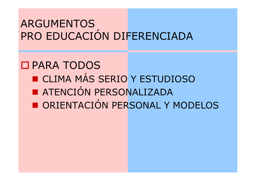#### ARGUMENTOSPRO EDUCACIÓN DIFERENCIADA

#### D PARA TODOS ■ CLIMA MÁS SERIO Y ESTUDIOSO ■ ATENCIÓN PERSONALIZADA -■ ORIENTACIÓN PERSONAL Y MODELOS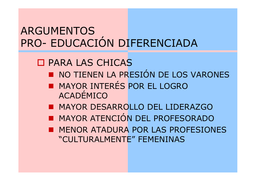## ARGUMENTOSPRO- EDUCACIÓN DIFERENCIADA

PARA LAS CHICAS

- -■ NO TIENEN LA PRESIÓN DE LOS VARONES
- -■ MAYOR INTERÉS POR EL LOGRO ACADÉMICO
- MAYOR DESARROLLO DEL LIDERAZGO -
- **E MAYOR ATENCION DEL PROFESORAD** ■ MAYOR ATENCIÓN DEL PROFESORADO
- **EN MENOR ATADURA POR LAS PROFESIONES** "CULTURALMENTE" FEMENINAS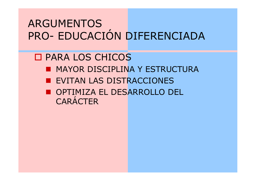## ARGUMENTOSPRO- EDUCACIÓN DIFERENCIADA

 PARA LOS CHICOS **EN MAYOR DISCIPLINA Y ESTRUCTURA EVITAN LAS DISTRACCIONES** ■ OPTIMIZA EL DESARROLLO DEL **CARÁCTER**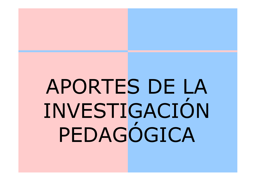# APORTES DE LA INVESTIGACIÓNPEDAGÓGICA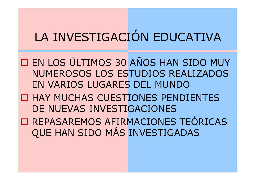### LA INVESTIGACIÓN EDUCATIVA

- $\blacksquare$ **EN LOS ÚLTIMOS 30 AÑOS HAN SIDO MUY<br>AU IMEROSOS LOS ESTUDIOS PEALIZADOS** NUMEROSOS LOS ESTUDIOS REALIZADOS EN VARIOS LUGARES DEL MUNDO
- **O HAY MUCHAS CUESTIONES PENDIENTES**<br>
DE NUIEVAS INVESTICACIONES DE NUEVAS INVESTIGACIONES
- □ REPASAREMOS AFIRMACIONE O REPASAREMOS AFIRMACIONES TEÓRICAS QUE HAN SIDO MÁS INVESTIGADAS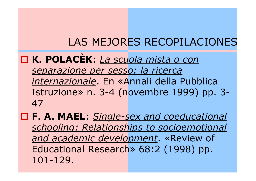#### LAS MEJORES RECOPILACIONES

#### $\blacksquare$  **K. POLACÈK**: *La scuola mista o con separazione per sesso: la ricerca internazionale*. En «Annali della Pubblica Istruzione» n. 3-4 (novembre 1999) pp. 3- 47

 **F. A. MAEL**: *Single-sex and coeducational schooling: Relationships to socioemotional and academic development*. «Review of Educational Research» 68:2 (1998) pp. 101-129.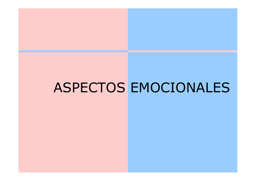### ASPECTOS EMOCIONALES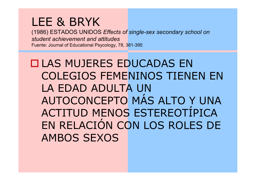#### LEE & BRYK

 (1986) ESTADOS UNIDOS *Effects of single-sex secondary school on student achievement and attitudes*Fuente: Journal of Educational Psycology, 78, 381-395

#### **LAS MUJERES EDUCADAS EN<br>COLECIOS EEMENINOS TIENE** COLEGIOS FEMENINOS TIENEN EN LA EDAD ADULTA UN AUTOCONCEPTO MÁS ALTO Y UNA ACTITUD MENOS ESTEREOTÍPICA EN RELACIÓN CON LOS ROLES DE AMBOS SEXOS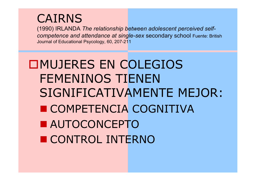### CAIRNS

 (1990) IRLANDA *The relationship between adolescent perceived selfcompetence and attendance at single-sex* secondary school Fuente: British Journal of Educational Psycology, 60, 207-211

### MUJERES EN COLEGIOS FEMENINOS TIENEN SIGNIFICATIVAMENTE MEJOR:■ COMPETENCIA COGNITIVA ■ AUTOCONCEPTO ■ CONTROL INTERNO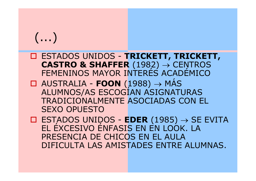- ESTADOS UNIDOS **TRICKETT, TRICKETT, CASTRO & SHAFFER** (1982) <sup>→</sup>FEMENINOS MAYOR INTERÉS ACADÉMICO
- AUSTRALIA **FOON** (1988) <sup>→</sup>ALUMNOS/AS ESCOGÍAN ASIGNATURAS TRADICIONALMENTE ASOCIADAS CON EL SEXO OPUESTO

 ESTADOS UNIDOS - **EDER** (1985) <sup>→</sup> SE EVITA EL ÉXCESIVO ÉNFASIS EN EN LOOK. LA PRESENCIA DE CHICOS EN EL AULA DIFICULTA LAS AMISTADES ENTRE ALUMNAS.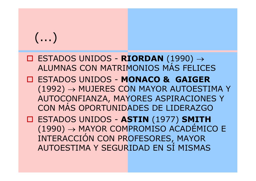- ESTADOS UNIDOS **RIORDAN** (1990) <sup>→</sup>ALUMNAS CON MATRIMONIOS MÁS FELICES
- ESTADOS UNIDOS **MONACO & GAIGER** (1992) → MUJERES CON MAYOR AUTOESTIMA Y AUTOCONFIANZA, MAYORES ASPIRACIONES Y CON MÁS OPORTUNIDADES DE LIDERAZGO

 ESTADOS UNIDOS - **ASTIN** (1977) **SMITH** (1990) → MAYOR COMPROMISO ACADÉMICO E<br>INTERACCIÓN CON PROFESORES, MAYOR INTERACCIÓN CON PROFESORES, MAYOR AUTOESTIMA Y SEGURIDAD EN SÍ MISMAS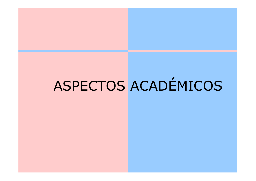# ASPECTOS ACADÉMICOS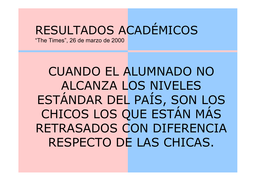### RESULTADOS ACADÉMICOS

"The Times", 26 de marzo de 2000

### CUANDO EL ALUMNADO NO ALCANZA LOS NIVELES ESTÁNDAR DEL PAÍS, SON LOS CHICOS LOS QUE ESTÁN MÁS RETRASADOS CON DIFERENCIA RESPECTO DE LAS CHICAS.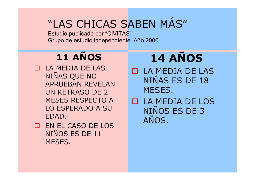### "LAS CHICAS SABEN MÁS"

Estudio publicado por "CIVITAS"Grupo de estudio independiente. Año 2000.

### **11 AÑOS**

- LA MEDIA DE LAS NIÑAS QUE NO APRUEBAN REVELAN UN RETRASO DE 2 MESES RESPECTO A LO ESPERADO A SU EDAD.
- EN EL CASO DE LOS NIÑOS ES DE 11 MESES.

### **14 AÑOS**

- LA MEDIA DE LAS NIÑAS ES DE 18 MESES.
- LA MEDIA DE LOS NIÑOS ES DE 3 AÑOS.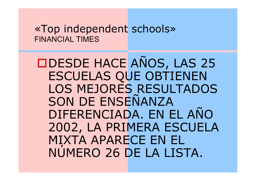#### «Top independent schools» FINANCIAL TIMES

DESDE HACE AÑOS, LAS 25 ESCUELAS QUE OBTIENEN LOS MEJORES RESULTADOS SON DE ENSEÑANZA DIFERENCIADA. EN EL AÑO 2002, LA PRIMERA ESCUELA MIXTA APARECE EN EL NÚMERO 26 DE LA LISTA.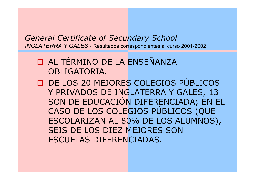#### *General Certificate of Secundary School INGLATERRA Y GALES -* Resultados correspondientes al curso 2001-2002

#### O AL TÉRMINO DE LA ENSEÑANZA OBLIGATORIA.

D DE LOS 20 MEJORES COLEGIOS PÚBLICOS Y PRIVADOS DE INGLATERRA Y GALES, 13 SON DE EDUCACIÓN DIFERENCIADA; EN EL CASO DE LOS COLEGIOS PÚBLICOS (QUE ESCOLARIZAN AL 80% DE LOS ALUMNOS), SEIS DE LOS DIEZ MEJORES SON ESCUELAS DIFERENCIADAS.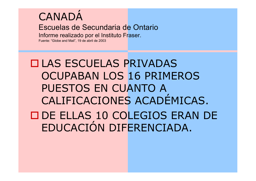### **CANADA**

#### Escuelas de Secundaria de Ontario

Informe realizado por el Instituto Fraser.

Fuente: "Globe and Mail", 19 de abril de 2003

 LAS ESCUELAS PRIVADAS OCUPABAN LOS 16 PRIMEROS PUESTOS EN CUANTO A CALIFICACIONES ACADÉMICAS.**DE ELLAS 10 COLEGIOS ERAN DE**<br>EDUCACIÓN DIEFRENCIADA EDUCACIÓN DIFERENCIADA.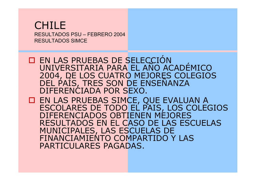#### CHILERESULTADOS PSU – FEBRERO 2004<br>DESLILTADOS SIMOE RESULTADOS SIMCE

**O EN LAS PRUEBAS DE SELECCIÓN** UNIVERSITARIA PARA EL AÑO ACADÉMICO 2004, DE LOS CUATRO MEJORES COLEGIOS DEL PAÍS, TRES SON DE ENSEÑANZA DIFERENCIADA POR SEXO.

O EN LAS PRUEBAS SIMCE, QUE EVALUAN A<br>ESCOLARES DE TODO EL PAIS, LOS COLEG ESCOLARES DE TODO EL PAIS, LOS COLEGIOS DIFERENCIADOS OBTIENEN MEJORES RESULTADOS EN EL CASO DE LAS ESCUELAS MUNICIPALES, LAS ESCUELAS DE FINANCIAMIENTO COMPARTIDO Y LAS PARTICULARES PAGADAS.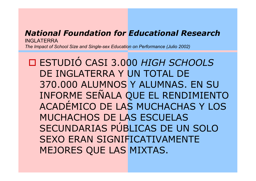#### *National Foundation for Educational Research* INGLATERRA

*The Impact of School Size and Single-sex Education on Performance (Julio 2002)*

 $\blacksquare$  ESTUDIÓ CASI 3.000 *HIGH SCHOOLS* DE INGLATERRA Y UN TOTAL DE 370.000 ALUMNOS Y ALUMNAS. EN SU INFORME SEÑALA QUE EL RENDIMIENTO ACADÉMICO DE LAS MUCHACHAS Y LOS MUCHACHOS DE LAS ESCUELAS SECUNDARIAS PÚBLICAS DE UN SOLO SEXO ERAN SIGNIFICATIVAMENTE MEJORES QUE LAS MIXTAS.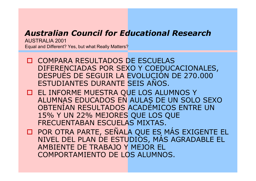#### *Australian Council for Educational Research*

AUSTRALIA 2001Equal and Different? Yes, but what Really Matters?

- O COMPARA RESULTADOS DE ESCUELAS<br>DIFERENCIADAS POR SEXO Y COEDUCA DIFERENCIADAS POR SEXO Y COEDUCACIONALES, DESPUÉS DE SEGUIR LA EVOLUCIÓN DE 270.000 ESTUDIANTES DURANTE SEIS AÑOS.
- EL INFORME MUESTRA QUE LOS ALUMNOS Y<br>ALUMNAS EDUCADOS EN AULAS DE UN SOLO ALUMNAS EDUCADOS EN AULAS DE UN SOLO SEXO OBTENÍAN RESULTADOS ACADÉMICOS ENTRE UN 15% Y UN 22% MEJORES QUE LOS QUE FRECUENTABAN ESCUELAS MIXTAS.
- POR OTRA PARTE, SEÑALA QUE ES MÁS EXIGENTE EL NIVEL DEL PLAN DE ESTUDIOS, MÁS AGRADABLE EL AMBIENTE DE TRABAJO Y MEJOR EL COMPORTAMIENTO DE LOS ALUMNOS.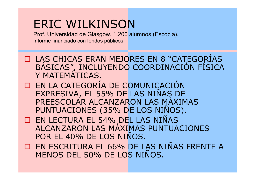#### ERIC WILKINSON

 Prof. Universidad de Glasgow. 1.200 alumnos (Escocia).Informe financiado con fondos públicos

- D LAS CHICAS ERAN MEJORES EN 8 "CATEGORÍAS"<br>RÁSICAS" INCLUYENDO COORDINACIÓN FÍSICA BÁSICAS", INCLUYENDO COORDINACIÓN FÍSICA Y MATEMÁTICAS.
- **EN LA CATEGORÍA DE COMUNICACIÓN**<br>EXPRESIVA EL 55% DE LAS NIÑAS DE EXPRESIVA, EL 55% DE LAS NIÑAS DE PREESCOLAR ALCANZARON LAS MÁXIMAS PUNTUACIONES (35% DE LOS NIÑOS).
- O EN LECTURA EL 54% DEL LAS NIÑAS<br>ALCANZARON LAS MÁXIMAS PUNTUAC ALCANZARON LAS MÁXIMAS PUNTUACIONES POR EL 40% DE LOS NIÑOS.
- EN ESCRITURA EL 66% DE LAS NIÑAS FRENTE A MENOS DEL 50% DE LOS NIÑOS.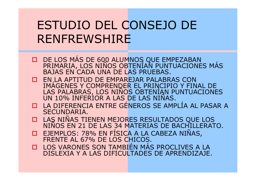### ESTUDIO DEL CONSEJO DERENFREWSHIRE

- DE LOS MÁS DE 600 ALUMNOS QUE EMPEZABAN PRIMARIA, LOS NIÑOS OBTENÍAN PUNTUACIONES MÁS BAJAS EN CADA UNA DE LAS PRUEBAS.
- **O EN LA APTITUD DE EMPAREJAR PALABR** IMAGENES Y COMPRENDER EL PRINCIPIO Y FINAL DE LAS PALABRAS, LOS NIÑOS OBTENÍAN PUNTUACIONES<br>UN 10% INFERIOR A LAS DE LAS NIÑAS.
- **LA DIFERENCIA ENTRE GÉNEROS SE AMPLÍA AL PASAR A<br>SECUNDARIA** SECUNDARIA.
- LAS NIÑAS TIENEN MEJORES RESULTADOS QUE LOS NIÑOS EN 21 DE LAS 34 MATERIAS DE BACHILLERATO. $\blacksquare$
- $\blacksquare$  EJEMPLOS: 78% EN FÍSICA A LA CABEZA NIÑAS, FRENTE AL 67% DE LOS CHICOS.
- LOS VARONES SON TAMBIÉN MÁS PROCLIVES A LA<br>DISLEXIA Y A LAS DIFICULTADES DE APRENDIZAJE. DISLEXIA Y A LAS DIFICULTADES DE APRENDIZAJE.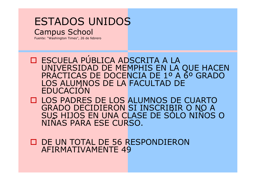#### ESTADOS UNIDOSCampus School

Fuente: "Washington Times", 26 de febrero

□ ESCUELA PÚBLICA ADSCRITA A LA<br>UNIVERSIDAD DE MEMPHIS EN LA ( UNIVERSIDAD DE MEMPHIS EN LA QUE HACEN PRÁCTICAS DE DOCENCIA DE 1º A 6º GRADO LOS ALUMNOS DE LA FACULTAD DE EDUCACIÓN

□ LOS PADRES DE LOS ALUMNOS DE CUARTO<br>CRADO DECIDIFRON SI INSCRIBIR O NO A GRADO DECIDIERON SI INSCRIBIR O NO A SUS HIJOS EN UNA CLASE DE SÓLO NIÑOS O NIÑAS PARA ESE CURSO.

D DE UN TOTAL DE 56 RESPONDIERON<br>AFIRMATIVAMENTE 49 AFIRMATIVAMENTE 49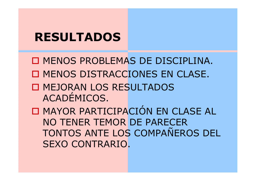#### **RESULTADOS**

O MENOS PROBLEMAS DE DISCIPLINA.<br>O MENOS PISTRAGOIONES EN SLASE O MENOS DISTRACCIONES EN CLASE.<br>Deligiones de provintinos **O MEJORAN LOS RESULTADOS** ACADÉMICOS. $\blacksquare$ O MAYOR PARTICIPACIÓN EN CLASE AL NO TENER TEMOR DE PARECER TONTOS ANTE LOS COMPAÑEROS DEL SEXO CONTRARIO.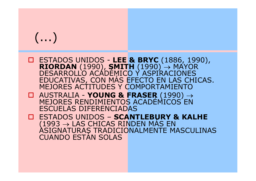- ESTADOS UNIDOS **LEE & BRYC** (1886, 1990),<br>**RIORDAN** (1990), **SMITH** (1990) → MAYOR<br>DESARROLLO ACADÉMICO Y ASPIRACIONES<br>EDUCATIVAS, CON MÁS EFECTO EN LAS CHICAS. MEJORES ACTITUDES Y COMPORTAMIENTO
- AUSTRALIA **YOUNG & FRASER** (1990) → MEJORES RENDIMIENTOS ACADÉMICOS EN ESCUELAS DIFERENCIADAS
- ESTADOS UNIDOS **SCANTLEBURY & KALHE**  $(1993\rightarrow$ ASIGNATURAS TRADICIONALMENTE MASCULINAS<br>CUANDO ESTÁN SOLAS → LAS CHICAS RINDEN MÁS EN<br>ATURAS TRADICIONALMENTE MA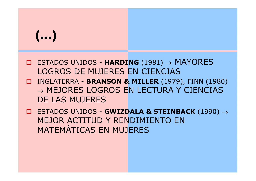- ESTADOS UNIDOS **HARDING** (1981) -> MAYORES LOGROS DE MUJERES EN CIENCIAS
- INGLATERRA **BRANSON & MILLER** (1979), FINN (1980)  $\rightarrow$ → MEJORES LOGROS EN LECTURA Y CIENCIAS<br>DE LAS MUJERES DE LAS MUJERES
- ESTADOS UNIDOS **GWIZDALA & STEINBACK** (1990) <sup>→</sup>MEJOR ACTITUD Y RENDIMIENTO EN MATEMÁTICAS EN MUJERES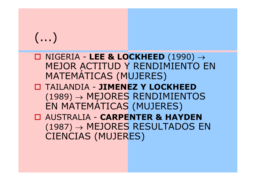- NIGERIA **LEE & LOCKHEED** (1990) <sup>→</sup> MEJOR ACTITUD Y RENDIMIENTO EN MATEMÁTICAS (MUJERES)
- TAILANDIA **JIMENEZ Y LOCKHEED** (1989) → MEJORES RENDIMIENTOS<br>EN MATEMÁTICAS (MUJERES)
- AUSTRALIA **CARPENTER & HAYDEN** (1987) → MEJORES RESULTADOS EN<br>CIENCIAS (MUIERES) CIENCIAS (MUJERES)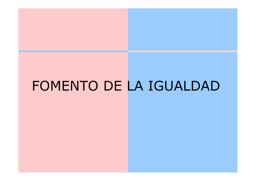### FOMENTO DE LA IGUALDAD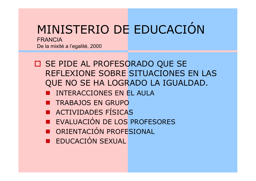## MINISTERIO DE EDUCACIÓN

FRANCIADe la mixité a l'egalité, 2000

- SE PIDE AL PROFESORADO QUE SE REFLEXIONE SOBRE SITUACIONES EN LAS QUE NO SE HA LOGRADO LA IGUALDAD.
	- INTERACCIONES EN EL AULA
	- **EN GRUPO**
	- ACTIVIDADES FÍSICAS
	- EVALUACIÓN DE LOS PROFESORES
	- ORIENTACIÓN PROFESIONAL
	- EDUCACIÓN SEXUAL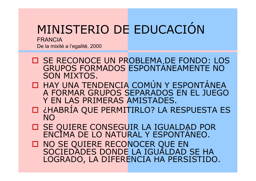### MINISTERIO DE EDUCACIÓN

FRANCIADe la mixité a l'egalité, 2000

- **O SE RECONOCE UN PROBLEMA, DE FONDO: LOS** GRUPOS FORMADOS ESPONTÁNEAMENTE NO SON MIXTOS.
- □ HAY UNA TENDENCIA COMÚN Y ESPONTÁNEA<br>A FORMAR GRUPOS SFPARADOS FN FL JUFGO A FORMAR GRUPOS SEPARADOS EN EL JUEGO Y EN LAS PRIMERAS AMISTADES.
- ¿HABRÍA QUE PERMITIRLO? LA RESPUESTA ES NO
- SE QUIERE CONSEGUIR LA IGUALDAD POR ENCIMA DE LO NATURAL Y ESPONTÁNEO.
- □ NO SE QUIERE RECONOCER QUE EN<br>SOCIEDADES DONDE LA IGUALDAD S SOCIEDADES DONDE LA IGUALDAD SE HA LOGRADO, LA DIFERENCIA HA PERSISTIDO.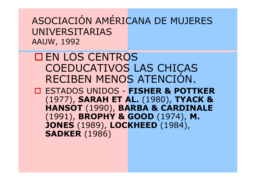ASOCIACIÓN AMÉRICANA DE MUJERES UNIVERSITARIASAAUW, 1992

#### **EN LOS CENTROS**<br>COEDUCATIVOS L COEDUCATIVOS LAS CHICAS RECIBEN MENOS ATENCIÓN.

 ESTADOS UNIDOS - **FISHER & POTTKER** (1977), **SARAH ET AL.** (1980), **TYACK & HANSOT** (1990), **BARBA & CARDINALE**(1991), **BROPHY & GOOD** (1974), **M. JONES** (1989), **LOCKHEED** (1984), **SADKER** (1986)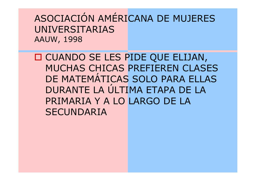ASOCIACIÓN AMÉRICANA DE MUJERES UNIVERSITARIASAAUW, 1998

O CUANDO SE LES PIDE QUE ELIJAN,<br>MUCHAS CHICAS PRETEREN CLASE MUCHAS CHICAS PREFIEREN CLASES DE MATEMÁTICAS SOLO PARA ELLAS DURANTE LA ÚLTIMA ETAPA DE LA PRIMARIA Y A LO LARGO DE LA SECUNDARIA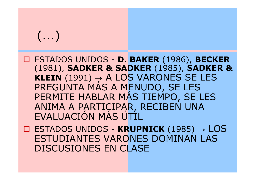- ESTADOS UNIDOS **D. BAKER** (1986), **BECKER** (1981), **SADKER & SADKER** (1985), **SADKER & KLEIN** (1991) → A LOS VARONES SE LES<br>PREGUNTA MÁS A MENUDO, SE LES<br>PERMITE HABLAR MÁS TIEMPO, SE LES ANIMA A PARTICIPAR, RECIBEN UNA EVALUACIÓN MÁS ÚTIL
- ESTADOS UNIDOS **KRUPNICK** (1985) <sup>→</sup> LOS ESTUDIANTES VARONES DOMINAN LAS DISCUSIONES EN CLASE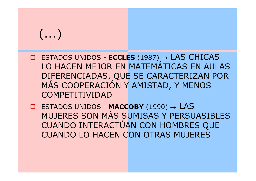- ESTADOS UNIDOS **ECCLES** (1987) <sup>→</sup> LAS CHICAS LO HACEN MEJOR EN MATEMÁTICAS EN AULAS DIFERENCIADAS, QUE SE CARACTERIZAN POR MÁS COOPERACIÓN Y AMISTAD, Y MENOS COMPETITIVIDAD
- ESTADOS UNIDOS **MACCOBY** (1990) <sup>→</sup> LAS MUJERES SON MÁS SUMISAS Y PERSUASIBLES CUANDO INTERACTÚAN CON HOMBRES QUE CUANDO LO HACEN CON OTRAS MUJERES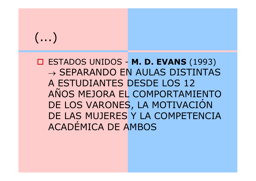ESTADOS UNIDOS - **M. D. EVANS** (1993)  $\rightarrow$  $\rightarrow$  SEPARANDO EN AULAS DISTINTAS<br>A ESTUDIANTES DESDE LOS 12 A ESTUDIANTES DESDE LOS 12 AÑOS MEJORA EL COMPORTAMIENTO DE LOS VARONES, LA MOTIVACIÓN DE LAS MUJERES Y LA COMPETENCIA ACADÉMICA DE AMBOS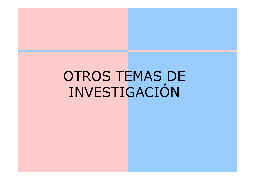### OTROS TEMAS DE INVESTIGACIÓN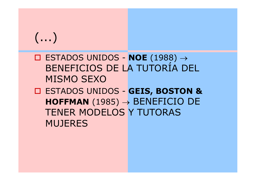- ESTADOS UNIDOS **NOE** (1988) <sup>→</sup>BENEFICIOS DE LA TUTORÍA DEL MISMO SEXO
- ESTADOS UNIDOS **GEIS, BOSTON & HOFFMAN** (1985) <sup>→</sup> BENEFICIO DE TENER MODELOS Y TUTORAS MUJERES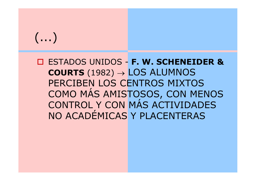ESTADOS UNIDOS - **F. W. SCHENEIDER & COURTS** (1982) <sup>→</sup> LOS ALUMNOS PERCIBEN LOS CENTROS MIXTOS COMO MÁS AMISTOSOS, CON MENOS CONTROL Y CON MÁS ACTIVIDADES NO ACADÉMICAS Y PLACENTERAS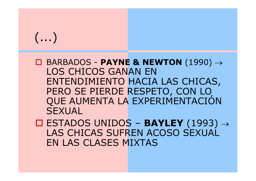BARBADOS - **PAYNE & NEWTON** (1990) <sup>→</sup>LOS CHICOS GANAN EN ENTENDIMIENTO HACIA LAS CHICAS, PERO SE PIERDE RESPETO, CON LO<br>QUE AUMENTA LA EXPERIMENTACIÓN **SEXUAL** 

 ESTADOS UNIDOS – **BAYLEY** (1993) <sup>→</sup> LAS CHICAS SUFREN ACOSO SEXUAL EN LAS CLASES MIXTAS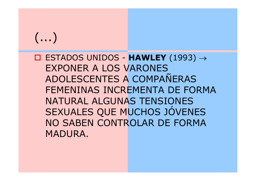ESTADOS UNIDOS - **HAWLEY** (1993) <sup>→</sup>EXPONER A LOS VARONES ADOLESCENTES A COMPAÑERAS FEMENINAS INCREMENTA DE FORMA NATURAL ALGUNAS TENSIONES SEXUALES QUE MUCHOS JÓVENES NO SABEN CONTROLAR DE FORMA MADURA.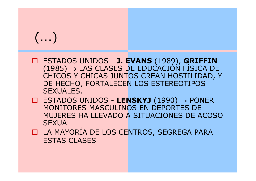- ESTADOS UNIDOS **J. EVANS** (1989), **GRIFFIN** (1985) → LAS CLASES DE EDUCACIÓN FÍSICA DE<br>CHICOS Y CHICAS IUNTOS CRFAN HOSTILIDAD. Y CHICOS Y CHICAS JUNTOS CREAN HOSTILIDAD, Y DE HECHO, FORTALECEN LOS ESTEREOTIPOS SEXUALES.
- ESTADOS UNIDOS **LENSKYJ** (1990) <sup>→</sup> PONER MONITORES MASCULINOS EN DEPORTES DE MUJERES HA LLEVADO A SITUACIONES DE ACOSO **SEXUAL**
- D LA MAYORÍA DE LOS CENTROS, SEGREGA PARA<br>ESTAS CLASES ESTAS CLASES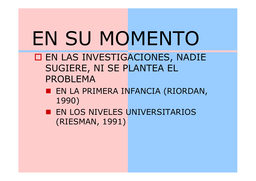# EN SU MOMENTO

- EN LAS INVESTIGACIONES, NADIE SUGIERE, NI SE PLANTEA EL PROBLEMA
	- EN LA PRIMERA INFANCIA (RIORDAN, 1990)
	- **EN LOS NIVELES UNIVERSITARIOS** (RIESMAN, 1991)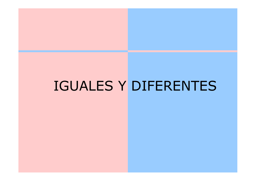### IGUALES Y DIFERENTES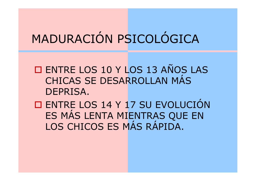### MADURACIÓN PSICOLÓGICA

O ENTRE LOS 10 Y LOS 13 AÑOS LAS CHICAS SE DESARROLLAN MÁS DEPRISA.

 $\blacksquare$ O ENTRE LOS 14 Y 17 SU EVOLUCIÓN ES MÁS LENTA MIENTRAS QUE EN LOS CHICOS ES MÁS RÁPIDA.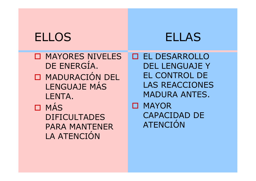#### ELLOS ELLAS

**O MAYORES NIVELES** DE ENERGÍA.O MADURACIÓN DEL LENGUAJE MÁS LENTA.ם MÁS<br>∩ספר DIFICULTADES PARA MANTENER LA ATENCIÓN

EL DESARROLLO DEL LENGUAJE Y EL CONTROL DE LAS REACCIONES MADURA ANTES.**D MAYOR** CAPACIDAD DE ATENCIÓN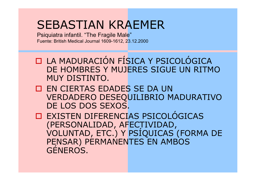#### SEBASTIAN KRAEMER

Psiquiatra infantil. "The Fragile Male"Fuente: British Medical Journal 1609-1612, 23.12.2000

- **LA MADURACIÓN FÍSICA Y PSICOLÓGICA**<br>DE HOMBRES Y MUJERES SIGUE UN RITM DE HOMBRES Y MUJERES SIGUE UN RITMO MUY DISTINTO.
- EN CIERTAS EDADES SE DA UN VERDADERO DESEQUILIBRIO MADURATIVO DE LOS DOS SEXOS.

 EXISTEN DIFERENCIAS PSICOLÓGICAS (PERSONALIDAD, AFECTIVIDAD, VOLUNTAD, ETC.) Y PSÍQUICAS (FORMA DE PENSAR) PERMANENTES EN AMBOS GÉNEROS.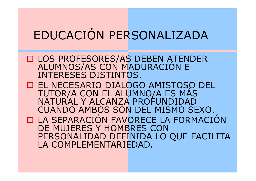### EDUCACIÓN PERSONALIZADA

 LOS PROFESORES/AS DEBEN ATENDER ALUMNOS/AS CON MADURACIÓN E INTERESES DISTINTOS. EL NECESARIO DIÁLOGO AMISTOSO DEL TUTOR/A CON EL ALUMNO/A ES MÁS NATURAL Y ALCANZA PROFUNDIDAD CUANDO AMBOS SON DEL MISMO SEXO.□ LA SEPARACIÓN FAVORECE LA FORMACIÓN<br>DE MUJERES Y HOMBRES CON DE MUJERES Y HOMBRES CON PERSONALIDAD DEFINIDA LO QUE FACILITA LA COMPLEMENTARIEDAD.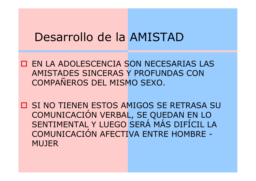#### Desarrollo de la AMISTAD

EN LA ADOLESCENCIA SON NECESARIAS LAS AMISTADES SINCERAS Y PROFUNDAS CON COMPAÑEROS DEL MISMO SEXO.

O SI NO TIENEN ESTOS AMIGOS SE RETRASA SU COMUNICACIÓN VERBAL, SE QUEDAN EN LO SENTIMENTAL Y LUEGO SERÁ MÁS DIFÍCIL LA<br>COMUNICACIÓN AFFCTIVA ENTRE HOMBRE -COMUNICACIÓN AFECTIVA ENTRE HOMBRE -MUJER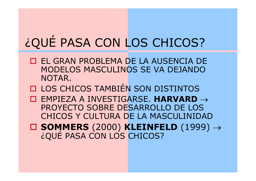### ¿QUÉ PASA CON LOS CHICOS?

- EL GRAN PROBLEMA DE LA AUSENCIA DE<br>MODELOS MASCULINOS SE VA DEJANDO MODELOS MASCULINOS SE VA DEJANDO NOTAR.
- LOS CHICOS TAMBIÉN SON DISTINTOS
- EMPIEZA A INVESTIGARSE. **HARVARD** → PROYECTO SOBRE DESARROLLO DE LOS CHICOS Y CULTURA DE LA MASCULINIDAD
- **SOMMERS** (2000) **KLEINFELD** (1999) →¿QUÉ PASA CON LOS CHICOS?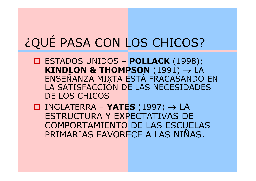### ¿QUÉ PASA CON LOS CHICOS?

ESTADOS UNIDOS – **POLLACK** (1998);<br>**ESTADOS UNIDOS – POLLACK** (1991) **KINDLON & THOMPSON** (1991) → $\rightarrow$  LA<br>ANDO ENSEÑANZA MIXTA ESTÁ FRACAŚANDO EN<br>LA SATISFACCIÓN DE LAS NECESIDADES LA SATISFACCIÓN DE LAS NECESIDADES DE LOS CHICOS

 INGLATERRA – **YATES** (1997) →INGLATERRA - **YATES** (1997) → LA<br>ESTRUCTURA Y EXPECTATIVAS DE COMPORTAMIENTO DE LAS ESCUELAS PRIMARIAS FAVORECE A LAS NIÑAS.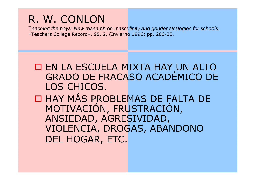#### R. W. CONLON

 T*eaching the boys: New research on masculinity and gender strategies for schools*.«Teachers College Record», 98, 2, (Invierno 1996) pp. 206-35.

 EN LA ESCUELA MIXTA HAY UN ALTO GRADO DE FRACASO ACADÉMICO DE LOS CHICOS.**O HAY MÁS PRI O HAY MÁS PROBLEMAS DE FALTA DE**<br>MOTIVACIÓN FRUSTRACIÓN MOTIVACIÓN, FRUSTRACIÓN, ANSIEDAD, AGRESIVIDAD, VIOLENCIA, DROGAS, ABANDONO DEL HOGAR, ETC.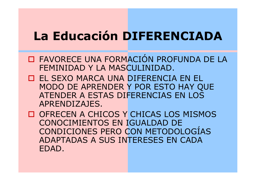### **La Educación DIFERENCIADA**

- **O FAVORECE UNA FORMACIÓN PROFUNDA DE LA**<br>FEMINIDAD Y LA MASCULINIDAD FEMINIDAD Y LA MASCULINIDAD.
- EL SEXO MARCA UNA DIFERENCIA EN EL MODO DE APRENDER Y POR ESTO HAY QUE ATENDER A ESTAS DIFERENCIAS EN LOS APRENDIZAJES.
- OFRECEN A CHICOS Y CHICAS LOS MISMOS CONOCIMIENTOS EN IGUALDAD DE CONDICIONES PERO CON METODOLOGÍAS ADAPTADAS A SUS INTERESES EN CADA EDAD.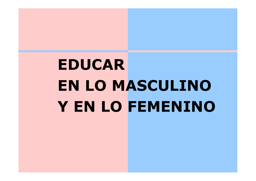# **EDUCAR EN LO MASCULINOY EN LO FEMENINO**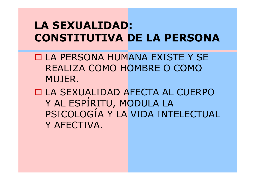#### **LA SEXUALIDAD: CONSTITUTIVA DE LA PERSONA**

- LA PERSONA HUMANA EXISTE Y SE<br>DEALIZA COMO HOMRDE O COMO REALIZA COMO HOMBRE O COMO MUJER.
- LA SEXUALIDAD AFECTA AL CUERPO Y AL ESPÍRITU, MODULA LA PSICOLOGÍA Y LA VIDA INTELECTUAL Y AFECTIVA.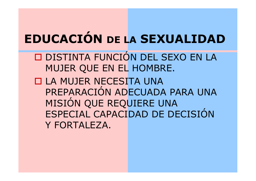#### **EDUCACIÓN DE LASEXUALIDAD**

- □ DISTINTA FUNCIÓN DEL SEXO EN LA O DISTINTA FUNCIÓN DEL SEXO EN LA MUJER QUE EN EL HOMBRE.
- LA MUJER NECESITA UNA<br>DREDARACIÓN ANECUADA PREPARACIÓN ADECUADA PARA UNA MISIÓN QUE REQUIERE UNA ESPECIAL CAPACIDAD DE DECISIÓN Y FORTALEZA.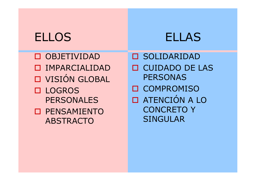#### ELLOS ELLAS

OBJETIVIDAD O IMPARCIALIDAD **O VISIÓN GLOBAL** LOGROS<br>DEDSONA **PERSONALES** O PENSAMIENTO<br>ARSTRACTO ABSTRACTO

O SOLIDARIDAD<br>OUID1D0 DE 1 CUIDADO DE LAS PERSONASO COMPROMISO **O ATENCIÓN A LO<br>CONCRETO Y** CONCRETO Y SINGULAR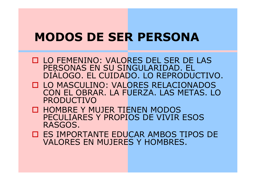#### **MODOS DE SER PERSONA**

- □ LO FEMENINO: VALORES DEL SER DE LAS<br>PERSONAS EN SU SINGUI ARIDAD. FI PERSONAS EN SU SINGULARIDAD. EL DIÁLOGO. EL CUIDADO. LO REPRODUCTIVO.
- □ LO MASCULINO: VALORES RELACIONADOS<br>CON FL OBRAR. LA FUFRZA. LAS MFTAS. LC CON EL OBRAR. LA FUERZA. LAS METAS. LO PRODUCTIVO
- □ HOMBRE Y MUJER TIENEN MODOS<br>PECULIARES Y PROPIOS DE VIVIR I PECULIARES Y PROPIOS DE VIVIR ESOS RASGOS.
- □ ES IMPORTANTE EDUCAR AMBOS TIPOS DE<br>VALORES EN MUJERES Y HOMBRES. VALORES EN MUJERES Y HOMBRES.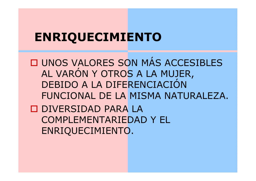#### **ENRIQUECIMIENTO**

 $\blacksquare$ **O UNOS VALORES SON MÁS ACCESIBLES** AL VARÓN Y OTROS A LA MUJER, DEBIDO A LA DIFERENCIACIÓN FUNCIONAL DE LA MISMA NATURALEZA.DIVERSIDAD PARA LA<br>COMPLEMENTADIEDAD COMPLEMENTARIEDAD Y EL ENRIQUECIMIENTO.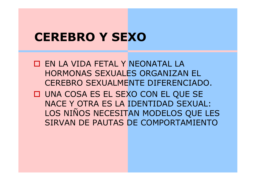#### **CEREBRO Y SEXO**

- EN LA VIDA FETAL Y NEONATAL LA HORMONAS SEXUALES ORGANIZAN EL CEREBRO SEXUALMENTE DIFERENCIADO.
- UNA COSA ES EL SEXO CON EL QUE SE NACE Y OTRA ES LA IDENTIDAD SEXUAL: LOS NIÑOS NECESITAN MODELOS QUE LES SIRVAN DE PAUTAS DE COMPORTAMIENTO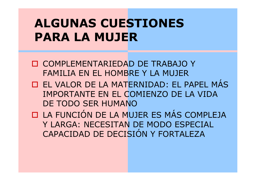### **ALGUNAS CUESTIONES PARA LA MUJER**

- COMPLEMENTARIEDAD DE TRABAJO Y FAMILIA EN EL HOMBRE Y LA MUJER
- EL VALOR DE LA MATERNIDAD: EL PAPEL MÁS IMPORTANTE EN EL COMIENZO DE LA VIDA DE TODO SER HUMANO
- LA FUNCIÓN DE LA MUJER ES MÁS COMPLEJA Y LARGA: NECESITAN DE MODO ESPECIAL CAPACIDAD DE DECISIÓN Y FORTALEZA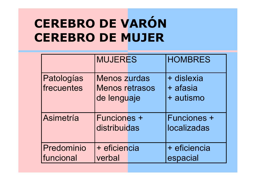### **CEREBRO DE VARÓNCEREBRO DE MUJER**

|                          | <b>MUJERES</b>                                              | <b>HOMBRES</b>                      |
|--------------------------|-------------------------------------------------------------|-------------------------------------|
| Patologías<br>frecuentes | <b>Menos zurdas</b><br><b>Menos retrasos</b><br>de lenguaje | + dislexia<br>+ afasia<br>+ autismo |
| Asimetría                | <b>Funciones +</b><br>distribuidas                          | <b>Funciones +</b><br>localizadas   |
| Predominio<br>funcional  | + eficiencia<br>verbal                                      | + eficiencia<br>espacial            |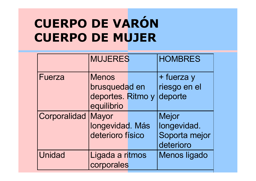### **CUERPO DE VARÓNCUERPO DE MUJER**

|               | <b>MUJERES</b>                                      | <b>HOMBRES</b>                                            |
|---------------|-----------------------------------------------------|-----------------------------------------------------------|
| Fuerza        | <b>Menos</b><br>brusquedad en                       | + fuerza y<br>riesgo en el                                |
|               | deportes. Ritmo y<br>equilibrio                     | deporte                                                   |
| Corporalidad  | <b>Mayor</b><br>longevidad. Más<br>deterioro físico | <b>Mejor</b><br>longevidad.<br>Soporta mejor<br>deterioro |
| <b>Unidad</b> | Ligada a ritmos<br>corporales                       | <b>Menos ligado</b>                                       |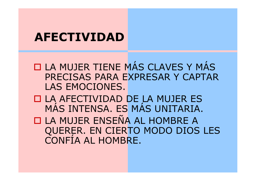#### **AFECTIVIDAD**

 $\blacksquare$ **O LA MUJER TIENE MÁS CLAVES Y MÁS<br>PRECISAS PARA EXPRESAR Y CAPTAR** PRECISAS PARA EXPRESAR Y CAPTAR LAS EMOCIONES.

LA AFECTIVIDAD DE LA MUJER ES MÁS INTENSA. ES MÁS UNITARIA.

**LA MUJER ENSEÑA AL HOMBRE A<br>OUERER EN CIERTO MODO DIOS** QUERER. EN CIERTO MODO DIOS LES CONFÍA AL HOMBRE.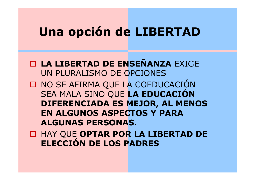### **Una opción de LIBERTAD**

**LA LIBERTAD DE ENSEÑANZA** EXIGE UN PLURALISMO DE OPCIONES

O NO SE AFIRMA QUE LA COEDUCACIÓN SEA MALA SINO QUE **LA EDUCACIÓN DIFERENCIADA ES MEJOR, AL MENOS EN ALGUNOS ASPECTOS Y PARA ALGUNAS PERSONAS**.

 HAY QUE **OPTAR POR LA LIBERTAD DE ELECCIÓN DE LOS PADRES**